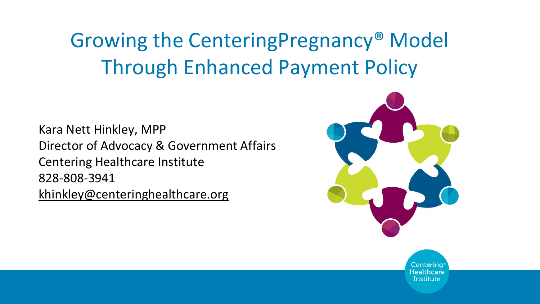## Growing the CenteringPregnancy® Model Through Enhanced Payment Policy

Kara Nett Hinkley, MPP Director of Advocacy & Government Affairs Centering Healthcare Institute 828-808-3941 [khinkley@centeringhealthcare.org](mailto:khinkley@centeringhealthcare.org)



Centerina Healthcare Institute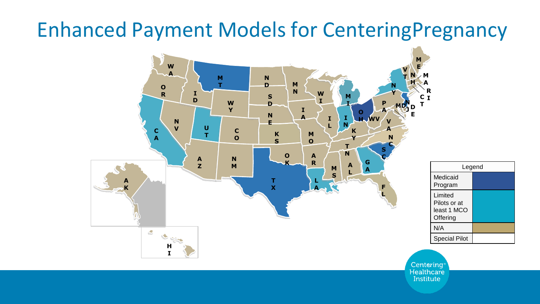## Enhanced Payment Models for CenteringPregnancy

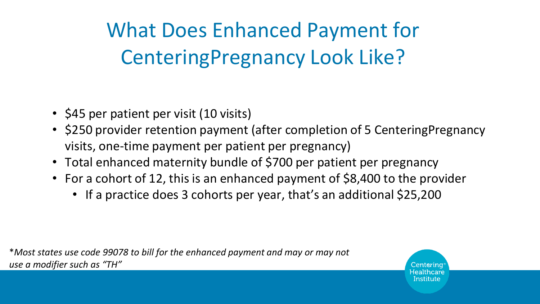What Does Enhanced Payment for CenteringPregnancy Look Like?

- \$45 per patient per visit (10 visits)
- \$250 provider retention payment (after completion of 5 CenteringPregnancy visits, one-time payment per patient per pregnancy)
- Total enhanced maternity bundle of \$700 per patient per pregnancy
- For a cohort of 12, this is an enhanced payment of \$8,400 to the provider
	- If a practice does 3 cohorts per year, that's an additional \$25,200

\**Most states use code 99078 to bill for the enhanced payment and may or may not use a modifier such as "TH"*

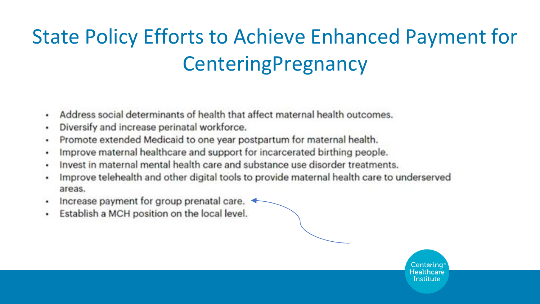## **State Policy Efforts to Achieve Enhanced Payment for** CenteringPregnancy

- Address social determinants of health that affect maternal health outcomes. ٠
- Diversify and increase perinatal workforce. ٠
- Promote extended Medicaid to one year postpartum for maternal health. ٠
- Improve maternal healthcare and support for incarcerated birthing people. ٠
- Invest in maternal mental health care and substance use disorder treatments. ٠
- Improve telehealth and other digital tools to provide maternal health care to underserved ٠ areas.
- Increase payment for group prenatal care. ٠
- Establish a MCH position on the local level. ٠